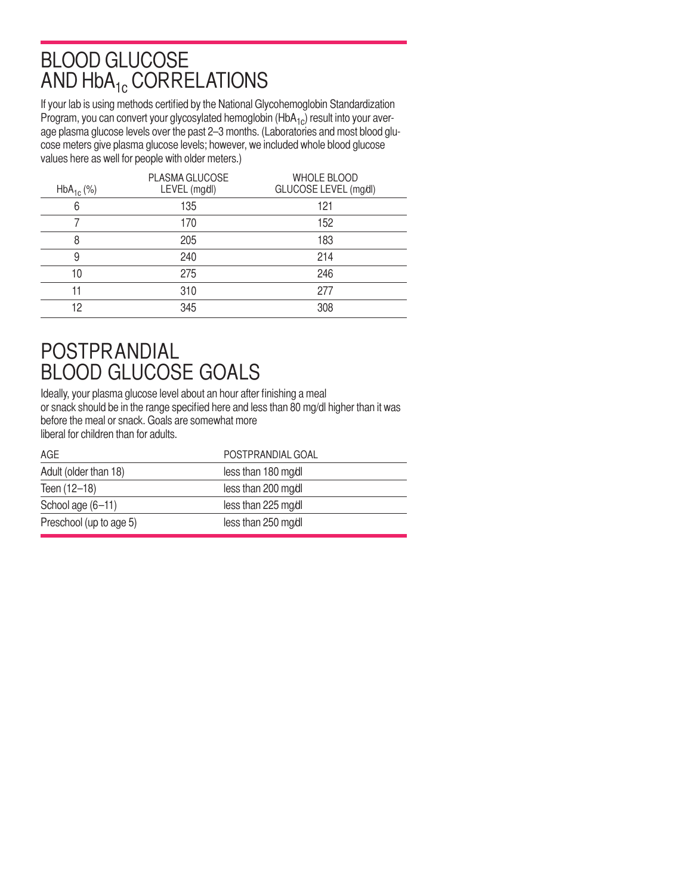# BLOOD GLUCOSE AND HbA<sub>1c</sub> CORRELATIONS

If your lab is using methods certified by the National Glycohemoglobin Standardization Program, you can convert your glycosylated hemoglobin  $(HbA_{1c})$  result into your average plasma glucose levels over the past 2–3 months. (Laboratories and most blood glucose meters give plasma glucose levels; however, we included whole blood glucose values here as well for people with older meters.)

| 135<br>121<br>6<br>170<br>152<br>205<br>183<br>8<br>240<br>214<br>9<br>246<br>275<br>10<br>310<br>277<br>11<br>345<br>12<br>308 | $HbA_{1c}$ (%) | PLASMA GLUCOSE<br>LEVEL (mg/dl) | <b>WHOLE BLOOD</b><br>GLUCOSE LEVEL (mg/dl) |
|---------------------------------------------------------------------------------------------------------------------------------|----------------|---------------------------------|---------------------------------------------|
|                                                                                                                                 |                |                                 |                                             |
|                                                                                                                                 |                |                                 |                                             |
|                                                                                                                                 |                |                                 |                                             |
|                                                                                                                                 |                |                                 |                                             |
|                                                                                                                                 |                |                                 |                                             |
|                                                                                                                                 |                |                                 |                                             |
|                                                                                                                                 |                |                                 |                                             |

# POSTPRANDIAL BLOOD GLUCOSE GOALS

Ideally, your plasma glucose level about an hour after finishing a meal or snack should be in the range specified here and less than 80 mg/dl higher than it was before the meal or snack. Goals are somewhat more liberal for children than for adults.

| AGE.                    | POSTPRANDIAL GOAL   |
|-------------------------|---------------------|
| Adult (older than 18)   | less than 180 mg/dl |
| Teen (12-18)            | less than 200 mg/dl |
| School age (6-11)       | less than 225 mg/dl |
| Preschool (up to age 5) | less than 250 mg/dl |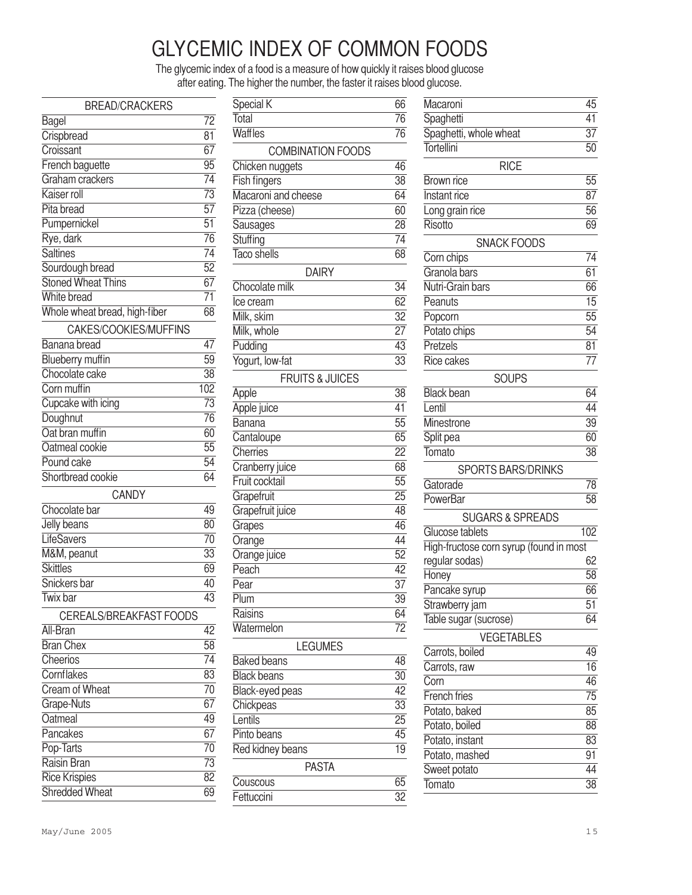# GLYCEMIC INDEX OF COMMON FOODS

The glycemic index of a food is a measure of how quickly it raises blood glucose after eating. The higher the number, the faster it raises blood glucose.

| <b>BREAD/CRACKERS</b>          |                 |
|--------------------------------|-----------------|
| Bagel                          | 72              |
| Crispbread                     | $\overline{81}$ |
| Croissant                      |                 |
| French baguette                |                 |
| Graham crackers                | $\overline{74}$ |
| Kaiser roll                    | $\overline{73}$ |
| Pita bread                     | 57              |
| Pumpernickel                   | $\overline{51}$ |
| Rye, dark                      | $\overline{76}$ |
| <b>Saltines</b>                | $\overline{74}$ |
| Sourdough bread                | $\overline{52}$ |
| <b>Stoned Wheat Thins</b>      | 67              |
| <b>White bread</b>             | $\overline{71}$ |
| Whole wheat bread, high-fiber  | $\overline{68}$ |
| CAKES/COOKIES/MUFFINS          |                 |
| Banana bread                   | 47              |
| <b>Blueberry muffin</b>        | $\overline{59}$ |
| Chocolate cake                 | $\overline{38}$ |
| Corn muffin                    | 102             |
| Cupcake with icing             | $\overline{73}$ |
| Doughnut                       | $\overline{76}$ |
| Oat bran muffin                | $\overline{60}$ |
| Oatmeal cookie                 | $\overline{55}$ |
| Pound cake                     | $\overline{54}$ |
| Shortbread cookie              | 64              |
| CANDY                          |                 |
| Chocolate bar                  | 49              |
| Jelly beans                    | 80              |
| LifeSavers                     |                 |
| M&M, peanut                    |                 |
| <b>Skittles</b>                |                 |
| Snickers bar                   |                 |
| Twix bar                       | 43              |
| <b>CEREALS/BREAKFAST FOODS</b> |                 |
| All-Bran                       | 42              |
| <b>Bran Chex</b>               | 58              |
| Cheerios                       | $\overline{74}$ |
| Cornflakes                     |                 |
| Cream of Wheat                 |                 |
| Grape-Nuts                     |                 |
| Oatmeal                        | 67<br>49        |
| Pancakes                       | $\overline{67}$ |
| Pop-Tarts                      | 70              |
| Raisin Bran                    |                 |
| <b>Rice Krispies</b>           |                 |
| Shredded Wheat                 |                 |

| Special K                  | 66              |
|----------------------------|-----------------|
| Total                      | 76              |
| Waffles                    | 76              |
| <b>COMBINATION FOODS</b>   |                 |
| Chicken nuggets            | 46              |
| <b>Fish fingers</b>        | 38              |
| Macaroni and cheese        | 64              |
| Pizza (cheese)             | $\overline{60}$ |
| Sausages                   | $\overline{28}$ |
| Stuffing                   | $\overline{74}$ |
| <b>Taco shells</b>         | $\overline{68}$ |
| <b>DAIRY</b>               |                 |
| Chocolate milk             | 34              |
| Ice cream                  | 62              |
| Milk, skim                 | $\overline{32}$ |
| Milk, whole                | $\overline{27}$ |
| Pudding                    | $\overline{43}$ |
| Yogurt, low-fat            | $\overline{33}$ |
| <b>FRUITS &amp; JUICES</b> |                 |
|                            | 38              |
| Apple                      | 41              |
| Apple juice                | 55              |
| Banana                     | $\overline{65}$ |
| Cantaloupe<br>Cherries     | $\overline{22}$ |
| Cranberry juice            | 68              |
| Fruit cocktail             | $\overline{55}$ |
| Grapefruit                 | $\overline{25}$ |
| Grapefruit juice           | 48              |
| Grapes                     | 46              |
| Orange                     | 44              |
| Orange juice               | $\overline{52}$ |
| Peach                      | $\overline{42}$ |
| Pear                       | $\overline{37}$ |
| <b>Plum</b>                | 39              |
| Raisins                    | 64              |
| Watermelon                 | $\overline{72}$ |
|                            |                 |
| <b>LEGUMES</b>             |                 |
| <b>Baked beans</b>         | 48              |
| <b>Black beans</b>         | 30              |
| Black-eyed peas            | 42              |
| Chickpeas                  | $\overline{33}$ |
| Lentils                    | $\overline{25}$ |
| Pinto beans                | 45              |
| Red kidney beans           | 19              |
| <b>PASTA</b>               |                 |
| Couscous                   | 65              |
| Fettuccini                 | 32              |

| Macaroni                                | 45              |
|-----------------------------------------|-----------------|
| Spaghetti                               | 41              |
| Spaghetti, whole wheat                  | $\overline{37}$ |
| Tortellini                              | 50              |
| <b>RICE</b>                             |                 |
| Brown rice                              | 55              |
| Instant rice                            | 87              |
| Long grain rice                         | 56              |
| <b>Risotto</b>                          | 69              |
| <b>SNACK FOODS</b>                      |                 |
| Corn chips                              | 74              |
| Granola bars                            | 61              |
| Nutri-Grain bars                        | 66              |
| Peanuts                                 | $\overline{15}$ |
| Popcorn                                 | $\overline{55}$ |
| Potato chips                            | $\overline{54}$ |
| Pretzels                                | 81              |
| Rice cakes                              | 77              |
| <b>SOUPS</b>                            |                 |
| <b>Black</b> bean                       | 64              |
| Lentil                                  | 44              |
| Minestrone                              | 39              |
| Split pea                               | 60              |
| Tomato                                  | 38              |
| <b>SPORTS BARS/DRINKS</b>               |                 |
| Gatorade                                | 78              |
| PowerBar                                | 58              |
| <b>SUGARS &amp; SPREADS</b>             |                 |
| Glucose tablets                         | 102             |
| High-fructose corn syrup (found in most |                 |
| regular sodas)                          | 62              |
| Honey                                   | 58              |
| Pancake syrup                           | 66              |
| Strawberry jam                          | 51              |
| Table sugar (sucrose)                   | 64              |
| <b>VEGETABLES</b>                       |                 |
| Carrots, boiled                         | 49              |
| Carrots, raw                            | 16              |
| Corn                                    | 46              |
| <b>French fries</b>                     | 75              |
| Potato, baked                           | 85              |
| Potato, boiled                          | 88              |
| Potato, instant                         | 83              |
| Potato, mashed                          | 91              |
| Sweet potato                            | 44              |
| Tomato                                  | 38              |
|                                         |                 |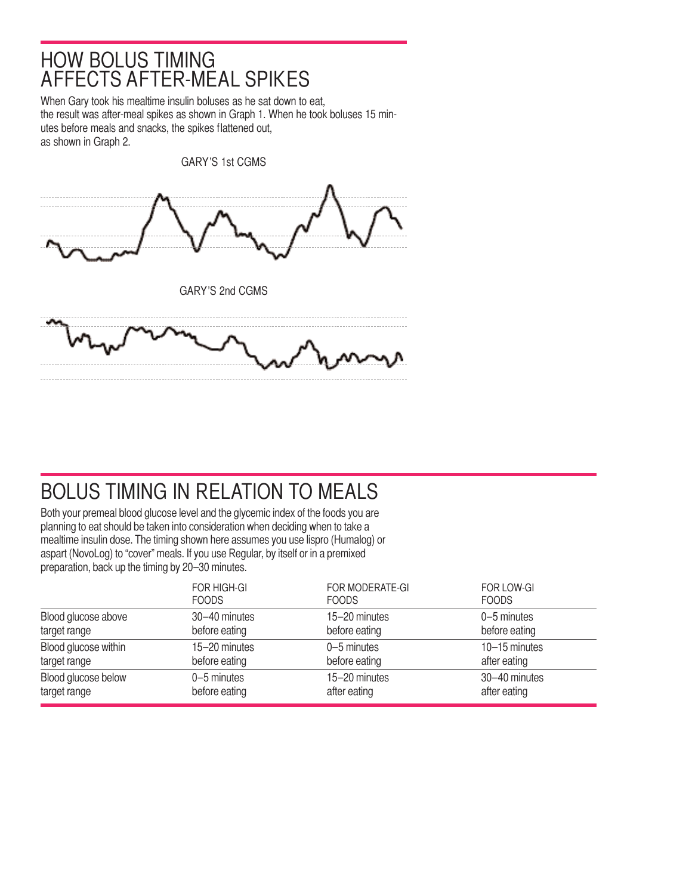#### HOW BOLUS TIMING AFFECTS AFTER-MEAL SPIKES

When Gary took his mealtime insulin boluses as he sat down to eat, the result was after-meal spikes as shown in Graph 1. When he took boluses 15 minutes before meals and snacks, the spikes flattened out, as shown in Graph 2.



# BOLUS TIMING IN RELATION TO MEALS

Both your premeal blood glucose level and the glycemic index of the foods you are planning to eat should be taken into consideration when deciding when to take a mealtime insulin dose. The timing shown here assumes you use lispro (Humalog) or aspart (NovoLog) to "cover" meals. If you use Regular, by itself or in a premixed preparation, back up the timing by 20–30 minutes.

|                      | <b>FOR HIGH-GI</b> | FOR MODERATE-GI | FOR LOW-GI    |
|----------------------|--------------------|-----------------|---------------|
|                      | <b>FOODS</b>       | <b>FOODS</b>    | <b>FOODS</b>  |
| Blood glucose above  | 30-40 minutes      | 15-20 minutes   | 0-5 minutes   |
| target range         | before eating      | before eating   | before eating |
| Blood glucose within | 15-20 minutes      | $0-5$ minutes   | 10-15 minutes |
| target range         | before eating      | before eating   | after eating  |
| Blood glucose below  | $0-5$ minutes      | 15-20 minutes   | 30-40 minutes |
| target range         | before eating      | after eating    | after eating  |